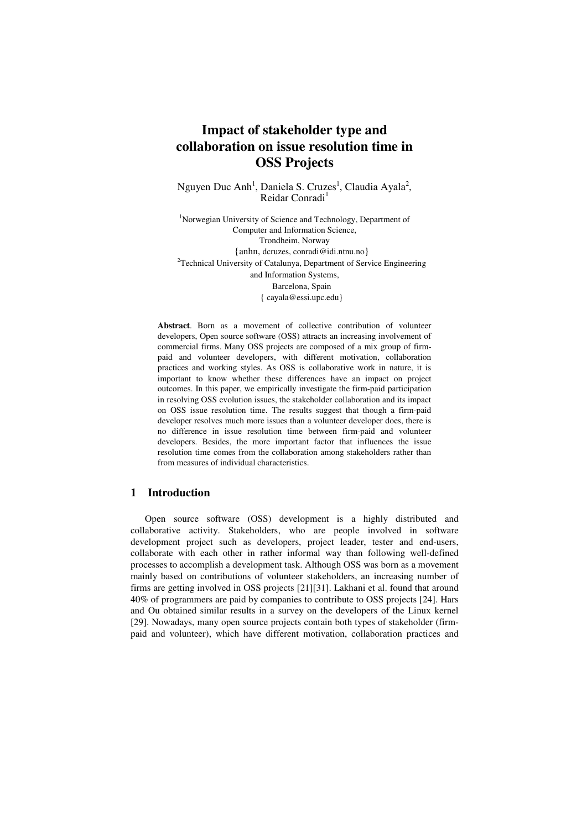# **Impact of stakeholder type and collaboration on issue resolution time in OSS Projects**

Nguyen Duc Anh<sup>1</sup>, Daniela S. Cruzes<sup>1</sup>, Claudia Ayala<sup>2</sup>, Reidar Conradi<sup>1</sup>

<sup>1</sup>Norwegian University of Science and Technology, Department of Computer and Information Science, Trondheim, Norway {anhn, dcruzes, conradi@idi.ntnu.no} <sup>2</sup>Technical University of Catalunya, Department of Service Engineering and Information Systems, Barcelona, Spain { cayala@essi.upc.edu}

**Abstract**. Born as a movement of collective contribution of volunteer developers, Open source software (OSS) attracts an increasing involvement of commercial firms. Many OSS projects are composed of a mix group of firmpaid and volunteer developers, with different motivation, collaboration practices and working styles. As OSS is collaborative work in nature, it is important to know whether these differences have an impact on project outcomes. In this paper, we empirically investigate the firm-paid participation in resolving OSS evolution issues, the stakeholder collaboration and its impact on OSS issue resolution time. The results suggest that though a firm-paid developer resolves much more issues than a volunteer developer does, there is no difference in issue resolution time between firm-paid and volunteer developers. Besides, the more important factor that influences the issue resolution time comes from the collaboration among stakeholders rather than from measures of individual characteristics.

# **1 Introduction**

Open source software (OSS) development is a highly distributed and collaborative activity. Stakeholders, who are people involved in software development project such as developers, project leader, tester and end-users, collaborate with each other in rather informal way than following well-defined processes to accomplish a development task. Although OSS was born as a movement mainly based on contributions of volunteer stakeholders, an increasing number of firms are getting involved in OSS projects [21][31]. Lakhani et al. found that around 40% of programmers are paid by companies to contribute to OSS projects [24]. Hars and Ou obtained similar results in a survey on the developers of the Linux kernel [29]. Nowadays, many open source projects contain both types of stakeholder (firmpaid and volunteer), which have different motivation, collaboration practices and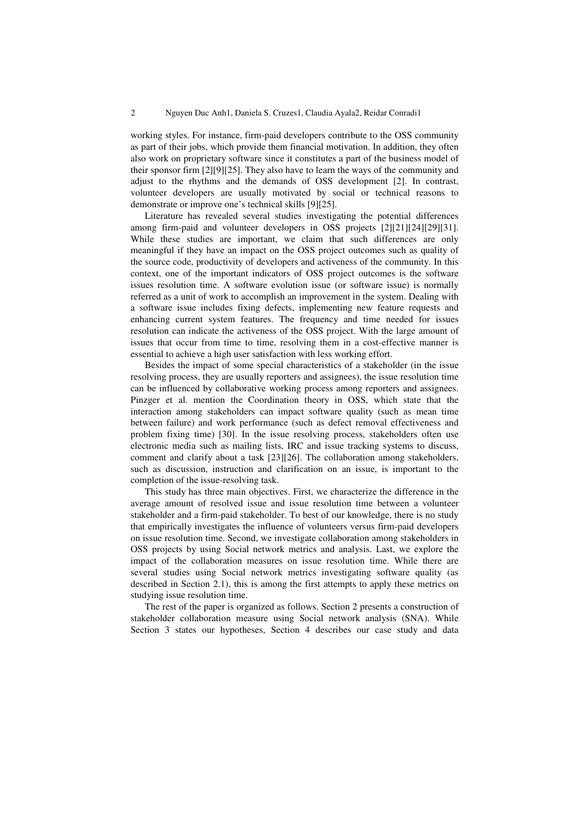working styles. For instance, firm-paid developers contribute to the OSS community as part of their jobs, which provide them financial motivation. In addition, they often also work on proprietary software since it constitutes a part of the business model of their sponsor firm [2][9][25]. They also have to learn the ways of the community and adjust to the rhythms and the demands of OSS development [2]. In contrast, volunteer developers are usually motivated by social or technical reasons to demonstrate or improve one's technical skills [9][25].

Literature has revealed several studies investigating the potential differences among firm-paid and volunteer developers in OSS projects [2][21][24][29][31]. While these studies are important, we claim that such differences are only meaningful if they have an impact on the OSS project outcomes such as quality of the source code, productivity of developers and activeness of the community. In this context, one of the important indicators of OSS project outcomes is the software issues resolution time. A software evolution issue (or software issue) is normally referred as a unit of work to accomplish an improvement in the system. Dealing with a software issue includes fixing defects, implementing new feature requests and enhancing current system features. The frequency and time needed for issues resolution can indicate the activeness of the OSS project. With the large amount of issues that occur from time to time, resolving them in a cost-effective manner is essential to achieve a high user satisfaction with less working effort.

Besides the impact of some special characteristics of a stakeholder (in the issue resolving process, they are usually reporters and assignees), the issue resolution time can be influenced by collaborative working process among reporters and assignees. Pinzger et al. mention the Coordination theory in OSS, which state that the interaction among stakeholders can impact software quality (such as mean time between failure) and work performance (such as defect removal effectiveness and problem fixing time) [30]. In the issue resolving process, stakeholders often use electronic media such as mailing lists, IRC and issue tracking systems to discuss, comment and clarify about a task [23][26]. The collaboration among stakeholders, such as discussion, instruction and clarification on an issue, is important to the completion of the issue-resolving task.

This study has three main objectives. First, we characterize the difference in the average amount of resolved issue and issue resolution time between a volunteer stakeholder and a firm-paid stakeholder. To best of our knowledge, there is no study that empirically investigates the influence of volunteers versus firm-paid developers on issue resolution time. Second, we investigate collaboration among stakeholders in OSS projects by using Social network metrics and analysis. Last, we explore the impact of the collaboration measures on issue resolution time. While there are several studies using Social network metrics investigating software quality (as described in Section 2.1), this is among the first attempts to apply these metrics on studying issue resolution time.

The rest of the paper is organized as follows. Section 2 presents a construction of stakeholder collaboration measure using Social network analysis (SNA). While Section 3 states our hypotheses, Section 4 describes our case study and data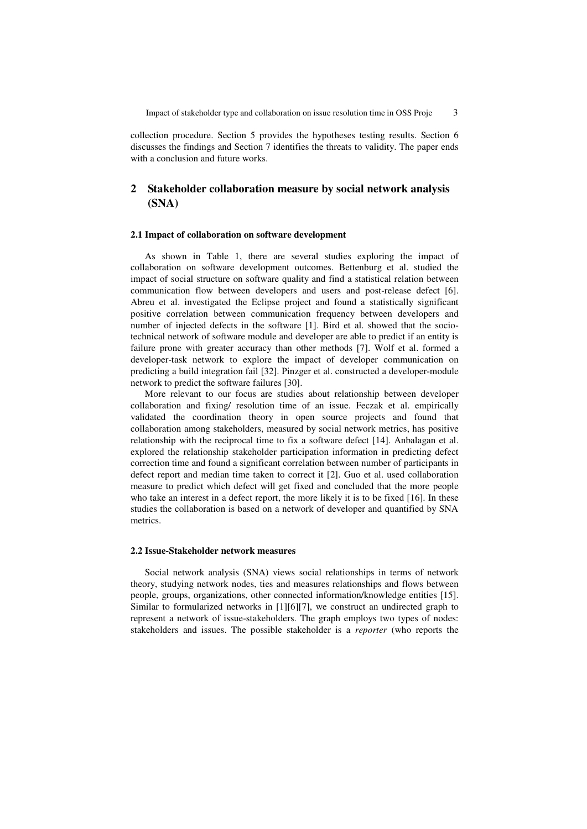collection procedure. Section 5 provides the hypotheses testing results. Section 6 discusses the findings and Section 7 identifies the threats to validity. The paper ends with a conclusion and future works.

# **2 Stakeholder collaboration measure by social network analysis (SNA)**

### **2.1 Impact of collaboration on software development**

As shown in Table 1, there are several studies exploring the impact of collaboration on software development outcomes. Bettenburg et al. studied the impact of social structure on software quality and find a statistical relation between communication flow between developers and users and post-release defect [6]. Abreu et al. investigated the Eclipse project and found a statistically significant positive correlation between communication frequency between developers and number of injected defects in the software [1]. Bird et al. showed that the sociotechnical network of software module and developer are able to predict if an entity is failure prone with greater accuracy than other methods [7]. Wolf et al. formed a developer-task network to explore the impact of developer communication on predicting a build integration fail [32]. Pinzger et al. constructed a developer-module network to predict the software failures [30].

More relevant to our focus are studies about relationship between developer collaboration and fixing/ resolution time of an issue. Feczak et al. empirically validated the coordination theory in open source projects and found that collaboration among stakeholders, measured by social network metrics, has positive relationship with the reciprocal time to fix a software defect [14]. Anbalagan et al. explored the relationship stakeholder participation information in predicting defect correction time and found a significant correlation between number of participants in defect report and median time taken to correct it [2]. Guo et al. used collaboration measure to predict which defect will get fixed and concluded that the more people who take an interest in a defect report, the more likely it is to be fixed [16]. In these studies the collaboration is based on a network of developer and quantified by SNA metrics.

#### **2.2 Issue-Stakeholder network measures**

Social network analysis (SNA) views social relationships in terms of network theory, studying network nodes, ties and measures relationships and flows between people, groups, organizations, other connected information/knowledge entities [15]. Similar to formularized networks in [1][6][7], we construct an undirected graph to represent a network of issue-stakeholders. The graph employs two types of nodes: stakeholders and issues. The possible stakeholder is a *reporter* (who reports the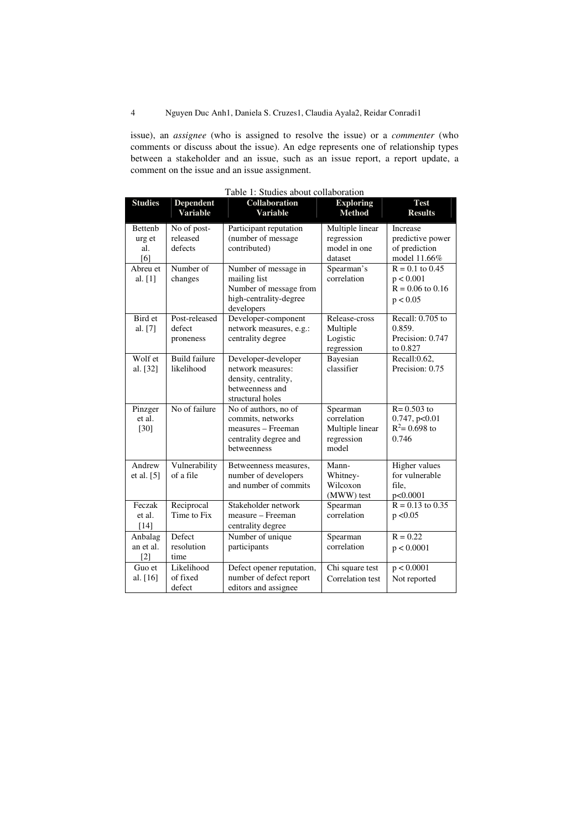issue), an *assignee* (who is assigned to resolve the issue) or a *commenter* (who comments or discuss about the issue). An edge represents one of relationship types between a stakeholder and an issue, such as an issue report, a report update, a comment on the issue and an issue assignment.

| <b>Studies</b>                         | Dependent<br><b>Variable</b>         | Collaboration<br><b>Variable</b>                                                                        | <b>Exploring</b><br><b>Method</b>                                 | <b>Test</b><br><b>Results</b>                                      |
|----------------------------------------|--------------------------------------|---------------------------------------------------------------------------------------------------------|-------------------------------------------------------------------|--------------------------------------------------------------------|
| <b>Bettenb</b><br>urg et<br>al.<br>[6] | No of post-<br>released<br>defects   | Participant reputation<br>(number of message<br>contributed)                                            | Multiple linear<br>regression<br>model in one<br>dataset          | Increase<br>predictive power<br>of prediction<br>model 11.66%      |
| Abreu et<br>al. $[1]$                  | Number of<br>changes                 | Number of message in<br>mailing list<br>Number of message from<br>high-centrality-degree<br>developers  | Spearman's<br>correlation                                         | $R = 0.1$ to 0.45<br>p < 0.001<br>$R = 0.06$ to 0.16<br>p < 0.05   |
| Bird et<br>al. [7]                     | Post-released<br>defect<br>proneness | Developer-component<br>network measures, e.g.:<br>centrality degree                                     | Release-cross<br>Multiple<br>Logistic<br>regression               | Recall: 0.705 to<br>0.859.<br>Precision: 0.747<br>to 0.827         |
| Wolf et<br>al. [32]                    | <b>Build failure</b><br>likelihood   | Developer-developer<br>network measures:<br>density, centrality,<br>betweenness and<br>structural holes | Bayesian<br>classifier                                            | Recall: $\overline{0.62}$ ,<br>Precision: 0.75                     |
| Pinzger<br>et al.<br>[30]              | No of failure                        | No of authors, no of<br>commits, networks<br>measures - Freeman<br>centrality degree and<br>betweenness | Spearman<br>correlation<br>Multiple linear<br>regression<br>model | $R = 0.503$ to<br>$0.747$ , p< $0.01$<br>$R^2$ = 0.698 to<br>0.746 |
| Andrew<br>et al. $[5]$                 | Vulnerability<br>of a file           | Betweenness measures,<br>number of developers<br>and number of commits                                  | Mann-<br>Whitney-<br>Wilcoxon<br>(MWW) test                       | Higher values<br>for vulnerable<br>file.<br>p<0.0001               |
| Feczak<br>et al.<br>$[14]$             | Reciprocal<br>Time to Fix            | Stakeholder network<br>measure – Freeman<br>centrality degree                                           | Spearman<br>correlation                                           | $R = 0.13$ to 0.35<br>p < 0.05                                     |
| Anbalag<br>an et al.<br>$[2]$          | Defect<br>resolution<br>time         | Number of unique<br>participants                                                                        | Spearman<br>correlation                                           | $R = 0.22$<br>p < 0.0001                                           |
| Guo et<br>al. [16]                     | Likelihood<br>of fixed<br>defect     | Defect opener reputation,<br>number of defect report<br>editors and assignee                            | Chi square test<br>Correlation test                               | p < 0.0001<br>Not reported                                         |

Table 1: Studies about collaboration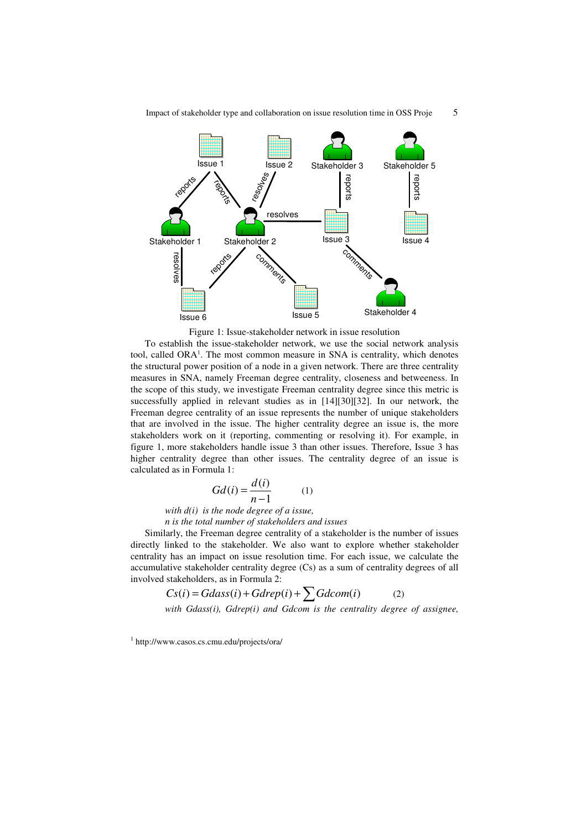

Figure 1: Issue-stakeholder network in issue resolution

To establish the issue-stakeholder network, we use the social network analysis tool, called ORA<sup>1</sup>. The most common measure in SNA is centrality, which denotes the structural power position of a node in a given network. There are three centrality measures in SNA, namely Freeman degree centrality, closeness and betweeness. In the scope of this study, we investigate Freeman centrality degree since this metric is successfully applied in relevant studies as in [14][30][32]. In our network, the Freeman degree centrality of an issue represents the number of unique stakeholders that are involved in the issue. The higher centrality degree an issue is, the more stakeholders work on it (reporting, commenting or resolving it). For example, in figure 1, more stakeholders handle issue 3 than other issues. Therefore, Issue 3 has higher centrality degree than other issues. The centrality degree of an issue is calculated as in Formula 1:

$$
Gd(i) = \frac{d(i)}{n-1} \tag{1}
$$

*with d(i) is the node degree of a issue,* 

*n is the total number of stakeholders and issues* 

Similarly, the Freeman degree centrality of a stakeholder is the number of issues directly linked to the stakeholder. We also want to explore whether stakeholder centrality has an impact on issue resolution time. For each issue, we calculate the accumulative stakeholder centrality degree (Cs) as a sum of centrality degrees of all involved stakeholders, as in Formula 2:

$$
Cs(i) = Gdass(i) + Gdrep(i) + \sum Gdcom(i)
$$
 (2)

*with Gdass(i), Gdrep(i) and Gdcom is the centrality degree of assignee,* 

<sup>1</sup> http://www.casos.cs.cmu.edu/projects/ora/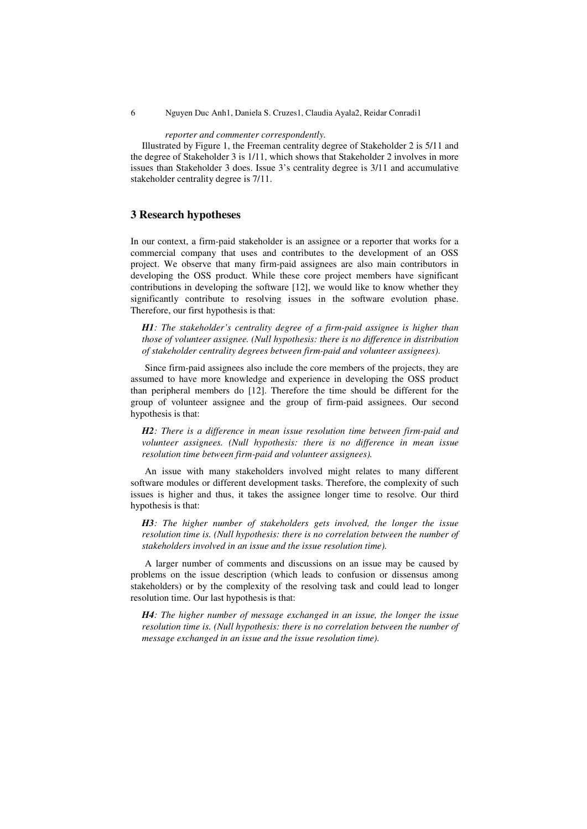#### *reporter and commenter correspondently.*

Illustrated by Figure 1, the Freeman centrality degree of Stakeholder 2 is 5/11 and the degree of Stakeholder 3 is 1/11, which shows that Stakeholder 2 involves in more issues than Stakeholder 3 does. Issue 3's centrality degree is 3/11 and accumulative stakeholder centrality degree is 7/11.

# **3 Research hypotheses**

In our context, a firm-paid stakeholder is an assignee or a reporter that works for a commercial company that uses and contributes to the development of an OSS project. We observe that many firm-paid assignees are also main contributors in developing the OSS product. While these core project members have significant contributions in developing the software [12], we would like to know whether they significantly contribute to resolving issues in the software evolution phase. Therefore, our first hypothesis is that:

*H1: The stakeholder's centrality degree of a firm-paid assignee is higher than those of volunteer assignee. (Null hypothesis: there is no difference in distribution of stakeholder centrality degrees between firm-paid and volunteer assignees).*

Since firm-paid assignees also include the core members of the projects, they are assumed to have more knowledge and experience in developing the OSS product than peripheral members do [12]. Therefore the time should be different for the group of volunteer assignee and the group of firm-paid assignees. Our second hypothesis is that:

*H2: There is a difference in mean issue resolution time between firm-paid and volunteer assignees. (Null hypothesis: there is no difference in mean issue resolution time between firm-paid and volunteer assignees).* 

An issue with many stakeholders involved might relates to many different software modules or different development tasks. Therefore, the complexity of such issues is higher and thus, it takes the assignee longer time to resolve. Our third hypothesis is that:

*H3: The higher number of stakeholders gets involved, the longer the issue resolution time is. (Null hypothesis: there is no correlation between the number of stakeholders involved in an issue and the issue resolution time).* 

A larger number of comments and discussions on an issue may be caused by problems on the issue description (which leads to confusion or dissensus among stakeholders) or by the complexity of the resolving task and could lead to longer resolution time. Our last hypothesis is that:

*H4: The higher number of message exchanged in an issue, the longer the issue resolution time is. (Null hypothesis: there is no correlation between the number of message exchanged in an issue and the issue resolution time).*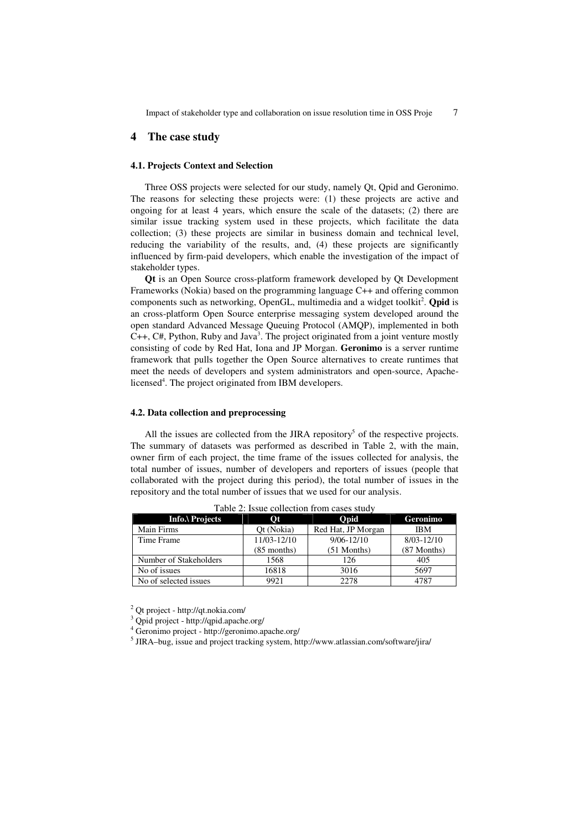# **4 The case study**

### **4.1. Projects Context and Selection**

Three OSS projects were selected for our study, namely Qt, Qpid and Geronimo. The reasons for selecting these projects were: (1) these projects are active and ongoing for at least 4 years, which ensure the scale of the datasets; (2) there are similar issue tracking system used in these projects, which facilitate the data collection; (3) these projects are similar in business domain and technical level, reducing the variability of the results, and, (4) these projects are significantly influenced by firm-paid developers, which enable the investigation of the impact of stakeholder types.

**Qt** is an Open Source cross-platform framework developed by Qt Development Frameworks (Nokia) based on the programming language C++ and offering common components such as networking, OpenGL, multimedia and a widget toolkit<sup>2</sup>. **Qpid** is an cross-platform Open Source enterprise messaging system developed around the open standard Advanced Message Queuing Protocol (AMQP), implemented in both  $C_{++}$ ,  $C_{+}$ , Python, Ruby and Java<sup>3</sup>. The project originated from a joint venture mostly consisting of code by Red Hat, Iona and JP Morgan. **Geronimo** is a server runtime framework that pulls together the Open Source alternatives to create runtimes that meet the needs of developers and system administrators and open-source, Apachelicensed<sup>4</sup>. The project originated from IBM developers.

### **4.2. Data collection and preprocessing**

All the issues are collected from the JIRA repository<sup>5</sup> of the respective projects. The summary of datasets was performed as described in Table 2, with the main, owner firm of each project, the time frame of the issues collected for analysis, the total number of issues, number of developers and reporters of issues (people that collaborated with the project during this period), the total number of issues in the repository and the total number of issues that we used for our analysis.

| 1 WOIV 81 100 WV VOIIVVIOII II OIII VWOVO OVWW |                |                    |                |  |  |  |
|------------------------------------------------|----------------|--------------------|----------------|--|--|--|
| Info.\ Projects                                | $\mathbf{O}$ t | Opid               | Geronimo       |  |  |  |
| Main Firms                                     | Ot (Nokia)     | Red Hat, JP Morgan | <b>IBM</b>     |  |  |  |
| Time Frame                                     | 11/03-12/10    | $9/06 - 12/10$     | $8/03 - 12/10$ |  |  |  |
|                                                | $(85$ months)  | $(51$ Months)      | (87 Months)    |  |  |  |
| Number of Stakeholders                         | 1568           | 126                | 405            |  |  |  |
| No of issues                                   | 16818          | 3016               | 5697           |  |  |  |
| No of selected issues                          | 9921           | 2278               | 4787           |  |  |  |

Table 2: Issue collection from cases study

2 Qt project - http://qt.nokia.com/

4 Geronimo project - http://geronimo.apache.org/

5 JIRA–bug, issue and project tracking system, http://www.atlassian.com/software/jira/

<sup>3</sup> Qpid project - http://qpid.apache.org/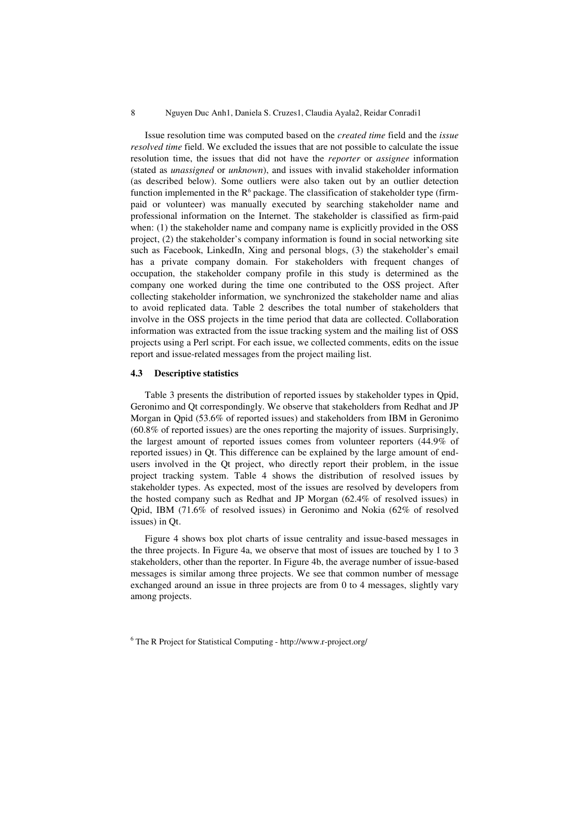#### 8 Nguyen Duc Anh1, Daniela S. Cruzes1, Claudia Ayala2, Reidar Conradi1

Issue resolution time was computed based on the *created time* field and the *issue resolved time* field. We excluded the issues that are not possible to calculate the issue resolution time, the issues that did not have the *reporter* or *assignee* information (stated as *unassigned* or *unknown*), and issues with invalid stakeholder information (as described below). Some outliers were also taken out by an outlier detection function implemented in the  $R^6$  package. The classification of stakeholder type (firmpaid or volunteer) was manually executed by searching stakeholder name and professional information on the Internet. The stakeholder is classified as firm-paid when: (1) the stakeholder name and company name is explicitly provided in the OSS project, (2) the stakeholder's company information is found in social networking site such as Facebook, LinkedIn, Xing and personal blogs, (3) the stakeholder's email has a private company domain. For stakeholders with frequent changes of occupation, the stakeholder company profile in this study is determined as the company one worked during the time one contributed to the OSS project. After collecting stakeholder information, we synchronized the stakeholder name and alias to avoid replicated data. Table 2 describes the total number of stakeholders that involve in the OSS projects in the time period that data are collected. Collaboration information was extracted from the issue tracking system and the mailing list of OSS projects using a Perl script. For each issue, we collected comments, edits on the issue report and issue-related messages from the project mailing list.

### **4.3 Descriptive statistics**

Table 3 presents the distribution of reported issues by stakeholder types in Qpid, Geronimo and Qt correspondingly. We observe that stakeholders from Redhat and JP Morgan in Qpid (53.6% of reported issues) and stakeholders from IBM in Geronimo (60.8% of reported issues) are the ones reporting the majority of issues. Surprisingly, the largest amount of reported issues comes from volunteer reporters (44.9% of reported issues) in Qt. This difference can be explained by the large amount of endusers involved in the Qt project, who directly report their problem, in the issue project tracking system. Table 4 shows the distribution of resolved issues by stakeholder types. As expected, most of the issues are resolved by developers from the hosted company such as Redhat and JP Morgan (62.4% of resolved issues) in Qpid, IBM (71.6% of resolved issues) in Geronimo and Nokia (62% of resolved issues) in Qt.

Figure 4 shows box plot charts of issue centrality and issue-based messages in the three projects. In Figure 4a, we observe that most of issues are touched by 1 to 3 stakeholders, other than the reporter. In Figure 4b, the average number of issue-based messages is similar among three projects. We see that common number of message exchanged around an issue in three projects are from 0 to 4 messages, slightly vary among projects.

6 The R Project for Statistical Computing - http://www.r-project.org/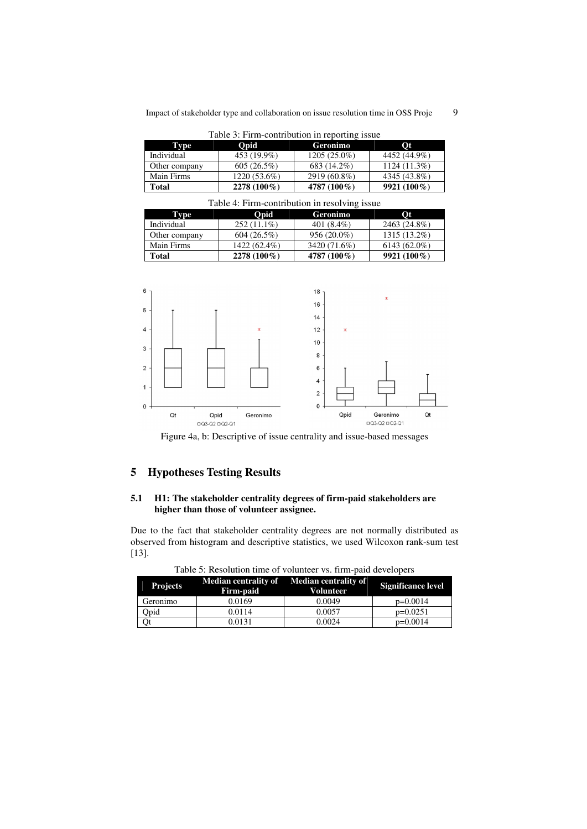| Table 5: Firm-contribution in reporting issue |                |                |              |  |  |  |
|-----------------------------------------------|----------------|----------------|--------------|--|--|--|
| Type                                          | Opid           | Geronimo       | <b>Ot</b>    |  |  |  |
| Individual                                    | 453 (19.9%)    | $1205(25.0\%)$ | 4452 (44.9%) |  |  |  |
| Other company                                 | 605(26.5%)     | 683 (14.2%)    | 1124 (11.3%) |  |  |  |
| Main Firms                                    | $1220(53.6\%)$ | 2919 (60.8%)   | 4345 (43.8%) |  |  |  |
| <b>Total</b>                                  | 2278 (100%)    | 4787 (100%)    | 9921 (100%)  |  |  |  |

Table 3: Firm-contribution in reporting is

| Table 4: Firm-contribution in resolving issue |               |               |                |  |  |  |
|-----------------------------------------------|---------------|---------------|----------------|--|--|--|
| Type                                          | Opid          | Geronimo      | <b>Ot</b>      |  |  |  |
| Individual                                    | $252(11.1\%)$ | 401 $(8.4\%)$ | 2463 (24.8%)   |  |  |  |
| Other company                                 | 604(26.5%)    | $956(20.0\%)$ | 1315 (13.2%)   |  |  |  |
| Main Firms                                    | 1422 (62.4%)  | 3420 (71.6%)  | $6143(62.0\%)$ |  |  |  |
| <b>Total</b>                                  | 2278 (100%)   | 4787 (100%)   | $9921(100\%)$  |  |  |  |



Figure 4a, b: Descriptive of issue centrality and issue-based messages

# **5 Hypotheses Testing Results**

# **5.1 H1: The stakeholder centrality degrees of firm-paid stakeholders are higher than those of volunteer assignee.**

Due to the fact that stakeholder centrality degrees are not normally distributed as observed from histogram and descriptive statistics, we used Wilcoxon rank-sum test [13].

| <b>Projects</b> | Firm-paid | Median centrality of Median centrality of<br><b>Volunteer</b> | <b>Significance level</b> |
|-----------------|-----------|---------------------------------------------------------------|---------------------------|
| Geronimo        | 0.0169    | 0.0049                                                        | $p=0.0014$                |
| Opid            | 0.0114    | 0.0057                                                        | $p=0.0251$                |
|                 | 0.0131    | 0.0024                                                        | $p=0.0014$                |

Table 5: Resolution time of volunteer vs. firm-paid developers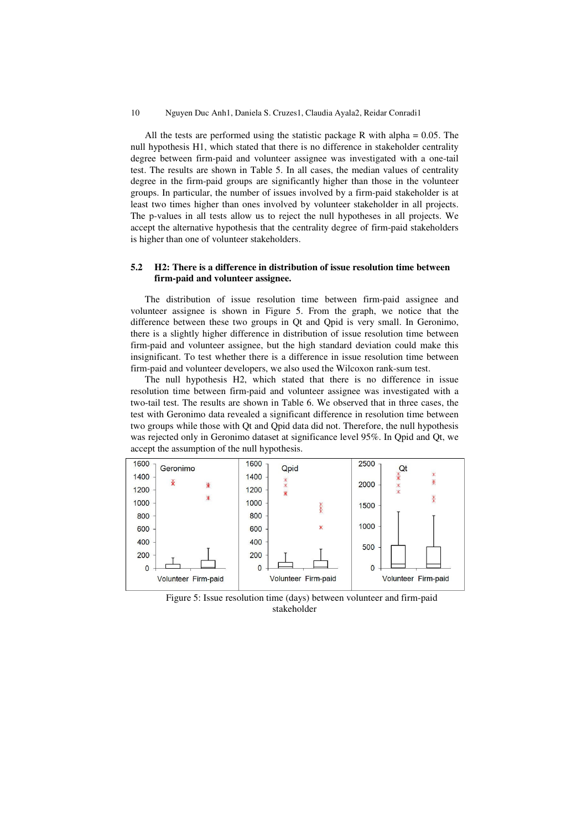#### 10 Nguyen Duc Anh1, Daniela S. Cruzes1, Claudia Ayala2, Reidar Conradi1

All the tests are performed using the statistic package R with alpha  $= 0.05$ . The null hypothesis H1, which stated that there is no difference in stakeholder centrality degree between firm-paid and volunteer assignee was investigated with a one-tail test. The results are shown in Table 5. In all cases, the median values of centrality degree in the firm-paid groups are significantly higher than those in the volunteer groups. In particular, the number of issues involved by a firm-paid stakeholder is at least two times higher than ones involved by volunteer stakeholder in all projects. The p-values in all tests allow us to reject the null hypotheses in all projects. We accept the alternative hypothesis that the centrality degree of firm-paid stakeholders is higher than one of volunteer stakeholders.

### **5.2 H2: There is a difference in distribution of issue resolution time between firm-paid and volunteer assignee.**

The distribution of issue resolution time between firm-paid assignee and volunteer assignee is shown in Figure 5. From the graph, we notice that the difference between these two groups in Qt and Qpid is very small. In Geronimo, there is a slightly higher difference in distribution of issue resolution time between firm-paid and volunteer assignee, but the high standard deviation could make this insignificant. To test whether there is a difference in issue resolution time between firm-paid and volunteer developers, we also used the Wilcoxon rank-sum test.

The null hypothesis H2, which stated that there is no difference in issue resolution time between firm-paid and volunteer assignee was investigated with a two-tail test. The results are shown in Table 6. We observed that in three cases, the test with Geronimo data revealed a significant difference in resolution time between two groups while those with Qt and Qpid data did not. Therefore, the null hypothesis was rejected only in Geronimo dataset at significance level 95%. In Qpid and Qt, we accept the assumption of the null hypothesis.



Figure 5: Issue resolution time (days) between volunteer and firm-paid stakeholder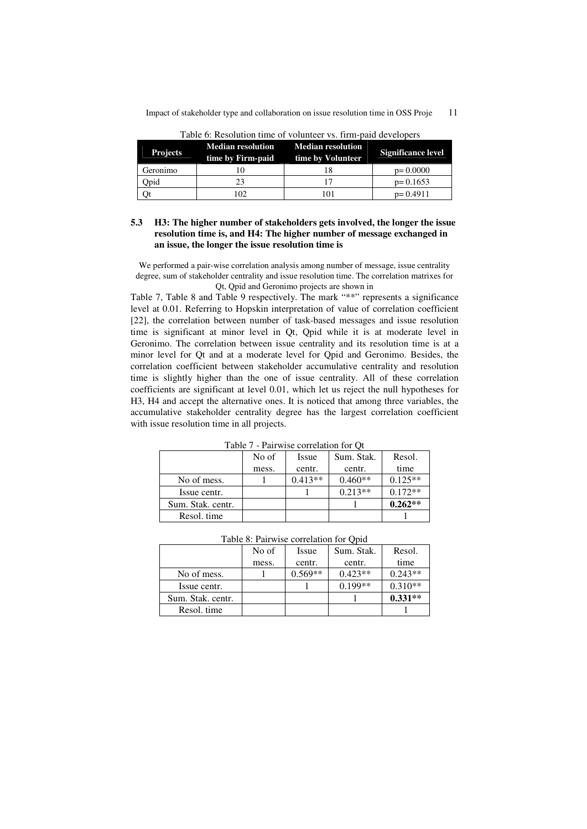| <b>Projects</b> | <b>Median resolution</b><br>time by Firm-paid | <b>Median resolution</b><br>time by Volunteer | <b>Significance level</b> |
|-----------------|-----------------------------------------------|-----------------------------------------------|---------------------------|
| Geronimo        |                                               |                                               | $p=0.0000$                |
| Dpid            |                                               |                                               | $p=0.1653$                |
|                 | 102                                           | I () 1                                        | $p=0.4911$                |

Table 6: Resolution time of volunteer vs. firm-paid developers

### **5.3 H3: The higher number of stakeholders gets involved, the longer the issue resolution time is, and H4: The higher number of message exchanged in an issue, the longer the issue resolution time is**

We performed a pair-wise correlation analysis among number of message, issue centrality degree, sum of stakeholder centrality and issue resolution time. The correlation matrixes for Qt, Qpid and Geronimo projects are shown in

Table 7, Table 8 and Table 9 respectively. The mark "\*\*" represents a significance level at 0.01. Referring to Hopskin interpretation of value of correlation coefficient [22], the correlation between number of task-based messages and issue resolution time is significant at minor level in Qt, Qpid while it is at moderate level in Geronimo. The correlation between issue centrality and its resolution time is at a minor level for Qt and at a moderate level for Qpid and Geronimo. Besides, the correlation coefficient between stakeholder accumulative centrality and resolution time is slightly higher than the one of issue centrality. All of these correlation coefficients are significant at level 0.01, which let us reject the null hypotheses for H3, H4 and accept the alternative ones. It is noticed that among three variables, the accumulative stakeholder centrality degree has the largest correlation coefficient with issue resolution time in all projects.

|                   | No of | Issue     | Sum. Stak. | Resol.    |
|-------------------|-------|-----------|------------|-----------|
|                   | mess. | centr.    | centr.     | time      |
| No of mess.       |       | $0.413**$ | $0.460**$  | $0.125**$ |
| Issue centr.      |       |           | $0.213**$  | $0.172**$ |
| Sum. Stak. centr. |       |           |            | $0.262**$ |
| Resol. time       |       |           |            |           |

Table 7 - Pairwise correlation for Qt

|                   | No of | Issue     | Sum. Stak. | Resol.    |
|-------------------|-------|-----------|------------|-----------|
|                   | mess. | centr.    | centr.     | time      |
| No of mess.       |       | $0.569**$ | $0.423**$  | $0.243**$ |
| Issue centr.      |       |           | $0.199**$  | $0.310**$ |
| Sum. Stak. centr. |       |           |            | $0.331**$ |
| Resol. time       |       |           |            |           |

Table 8: Pairwise correlation for Qpid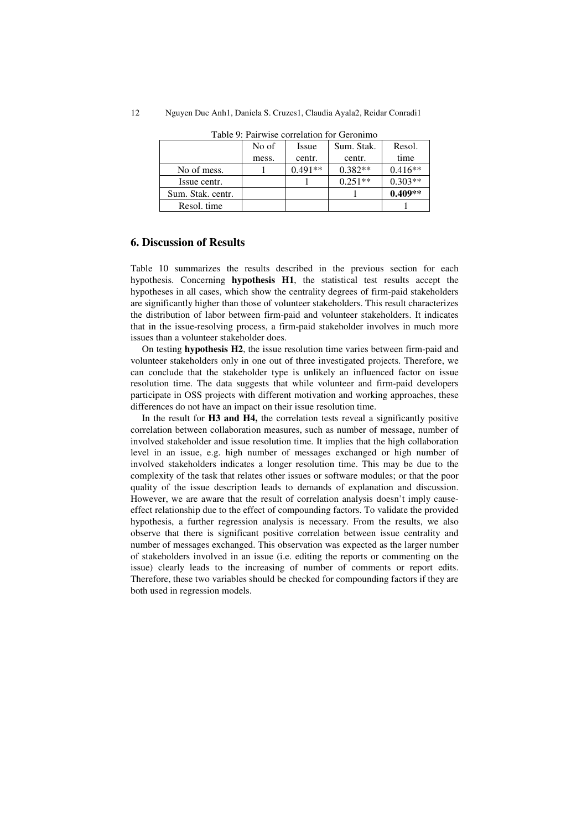| 12 |  |  | Nguyen Duc Anh1, Daniela S. Cruzes1, Claudia Ayala2, Reidar Conradi1 |  |
|----|--|--|----------------------------------------------------------------------|--|
|----|--|--|----------------------------------------------------------------------|--|

| Taone 9. Tan wise conferancii for ciclomino |       |           |            |           |  |
|---------------------------------------------|-------|-----------|------------|-----------|--|
|                                             | No of | Issue     | Sum. Stak. | Resol.    |  |
|                                             | mess. | centr.    | centr.     | time      |  |
| No of mess.                                 |       | $0.491**$ | $0.382**$  | $0.416**$ |  |
| Issue centr.                                |       |           | $0.251**$  | $0.303**$ |  |
| Sum. Stak. centr.                           |       |           |            | $0.409**$ |  |
| Resol. time                                 |       |           |            |           |  |

Table 9: Pairwise correlation for Geronimo

# **6. Discussion of Results**

Table 10 summarizes the results described in the previous section for each hypothesis. Concerning **hypothesis H1**, the statistical test results accept the hypotheses in all cases, which show the centrality degrees of firm-paid stakeholders are significantly higher than those of volunteer stakeholders. This result characterizes the distribution of labor between firm-paid and volunteer stakeholders. It indicates that in the issue-resolving process, a firm-paid stakeholder involves in much more issues than a volunteer stakeholder does.

On testing **hypothesis H2**, the issue resolution time varies between firm-paid and volunteer stakeholders only in one out of three investigated projects. Therefore, we can conclude that the stakeholder type is unlikely an influenced factor on issue resolution time. The data suggests that while volunteer and firm-paid developers participate in OSS projects with different motivation and working approaches, these differences do not have an impact on their issue resolution time.

In the result for **H3 and H4,** the correlation tests reveal a significantly positive correlation between collaboration measures, such as number of message, number of involved stakeholder and issue resolution time. It implies that the high collaboration level in an issue, e.g. high number of messages exchanged or high number of involved stakeholders indicates a longer resolution time. This may be due to the complexity of the task that relates other issues or software modules; or that the poor quality of the issue description leads to demands of explanation and discussion. However, we are aware that the result of correlation analysis doesn't imply causeeffect relationship due to the effect of compounding factors. To validate the provided hypothesis, a further regression analysis is necessary. From the results, we also observe that there is significant positive correlation between issue centrality and number of messages exchanged. This observation was expected as the larger number of stakeholders involved in an issue (i.e. editing the reports or commenting on the issue) clearly leads to the increasing of number of comments or report edits. Therefore, these two variables should be checked for compounding factors if they are both used in regression models.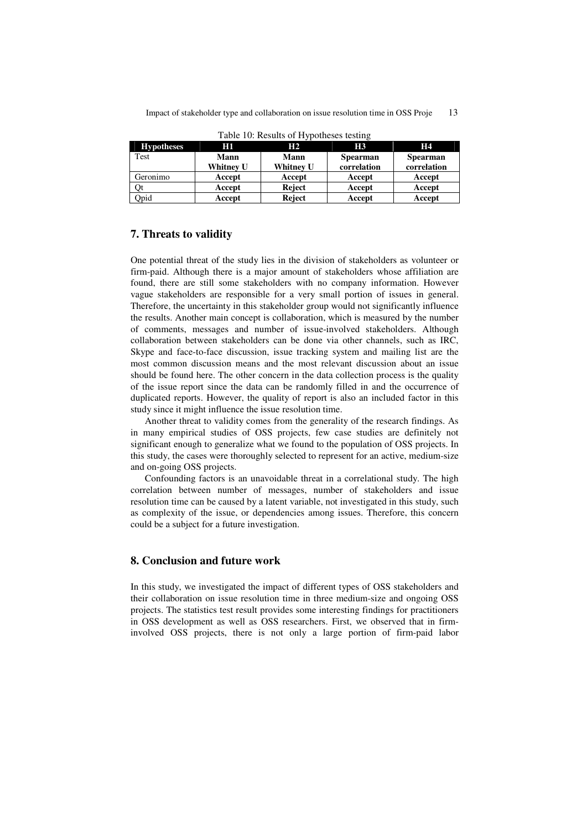| <b>Hypotheses</b> | Нı          | H <sub>2</sub>   | H3              | <b>H4</b>       |
|-------------------|-------------|------------------|-----------------|-----------------|
| Test              | <b>Mann</b> | <b>Mann</b>      | <b>Spearman</b> | <b>Spearman</b> |
|                   | Whitney U   | <b>Whitney U</b> | correlation     | correlation     |
| Geronimo          | Accept      | Accept           | Accept          | Accept          |
| Qt                | Accept      | Reject           | Accept          | Accept          |
| Qpid              | Accept      | Reject           | Accept          | Accept          |

Table 10: Results of Hypotheses testing

# **7. Threats to validity**

One potential threat of the study lies in the division of stakeholders as volunteer or firm-paid. Although there is a major amount of stakeholders whose affiliation are found, there are still some stakeholders with no company information. However vague stakeholders are responsible for a very small portion of issues in general. Therefore, the uncertainty in this stakeholder group would not significantly influence the results. Another main concept is collaboration, which is measured by the number of comments, messages and number of issue-involved stakeholders. Although collaboration between stakeholders can be done via other channels, such as IRC, Skype and face-to-face discussion, issue tracking system and mailing list are the most common discussion means and the most relevant discussion about an issue should be found here. The other concern in the data collection process is the quality of the issue report since the data can be randomly filled in and the occurrence of duplicated reports. However, the quality of report is also an included factor in this study since it might influence the issue resolution time.

Another threat to validity comes from the generality of the research findings. As in many empirical studies of OSS projects, few case studies are definitely not significant enough to generalize what we found to the population of OSS projects. In this study, the cases were thoroughly selected to represent for an active, medium-size and on-going OSS projects.

Confounding factors is an unavoidable threat in a correlational study. The high correlation between number of messages, number of stakeholders and issue resolution time can be caused by a latent variable, not investigated in this study, such as complexity of the issue, or dependencies among issues. Therefore, this concern could be a subject for a future investigation.

### **8. Conclusion and future work**

In this study, we investigated the impact of different types of OSS stakeholders and their collaboration on issue resolution time in three medium-size and ongoing OSS projects. The statistics test result provides some interesting findings for practitioners in OSS development as well as OSS researchers. First, we observed that in firminvolved OSS projects, there is not only a large portion of firm-paid labor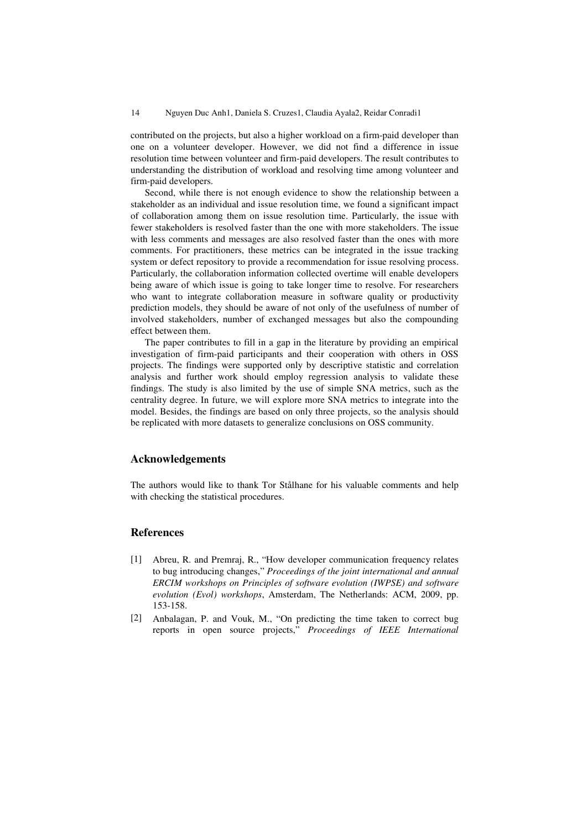contributed on the projects, but also a higher workload on a firm-paid developer than one on a volunteer developer. However, we did not find a difference in issue resolution time between volunteer and firm-paid developers. The result contributes to understanding the distribution of workload and resolving time among volunteer and firm-paid developers.

Second, while there is not enough evidence to show the relationship between a stakeholder as an individual and issue resolution time, we found a significant impact of collaboration among them on issue resolution time. Particularly, the issue with fewer stakeholders is resolved faster than the one with more stakeholders. The issue with less comments and messages are also resolved faster than the ones with more comments. For practitioners, these metrics can be integrated in the issue tracking system or defect repository to provide a recommendation for issue resolving process. Particularly, the collaboration information collected overtime will enable developers being aware of which issue is going to take longer time to resolve. For researchers who want to integrate collaboration measure in software quality or productivity prediction models, they should be aware of not only of the usefulness of number of involved stakeholders, number of exchanged messages but also the compounding effect between them.

The paper contributes to fill in a gap in the literature by providing an empirical investigation of firm-paid participants and their cooperation with others in OSS projects. The findings were supported only by descriptive statistic and correlation analysis and further work should employ regression analysis to validate these findings. The study is also limited by the use of simple SNA metrics, such as the centrality degree. In future, we will explore more SNA metrics to integrate into the model. Besides, the findings are based on only three projects, so the analysis should be replicated with more datasets to generalize conclusions on OSS community.

# **Acknowledgements**

The authors would like to thank Tor Stålhane for his valuable comments and help with checking the statistical procedures.

### **References**

- [1] Abreu, R. and Premraj, R., "How developer communication frequency relates to bug introducing changes," *Proceedings of the joint international and annual ERCIM workshops on Principles of software evolution (IWPSE) and software evolution (Evol) workshops*, Amsterdam, The Netherlands: ACM, 2009, pp. 153-158.
- [2] Anbalagan, P. and Vouk, M., "On predicting the time taken to correct bug reports in open source projects," *Proceedings of IEEE International*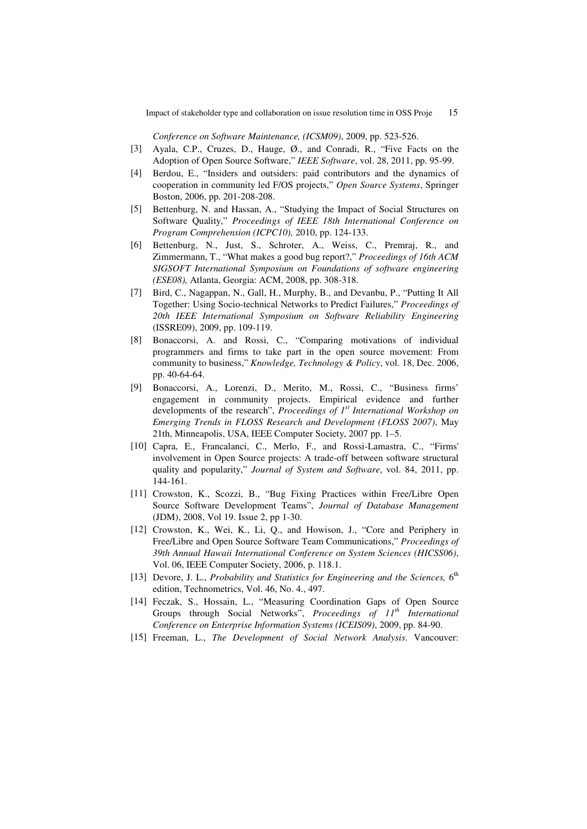*Conference on Software Maintenance, (ICSM09)*, 2009, pp. 523-526.

- [3] Ayala, C.P., Cruzes, D., Hauge, Ø., and Conradi, R., "Five Facts on the Adoption of Open Source Software," *IEEE Software*, vol. 28, 2011, pp. 95-99.
- [4] Berdou, E., "Insiders and outsiders: paid contributors and the dynamics of cooperation in community led F/OS projects," *Open Source Systems*, Springer Boston, 2006, pp. 201-208-208.
- [5] Bettenburg, N. and Hassan, A., "Studying the Impact of Social Structures on Software Quality," *Proceedings of IEEE 18th International Conference on Program Comprehension (ICPC10),* 2010, pp. 124-133.
- [6] Bettenburg, N., Just, S., Schroter, A., Weiss, C., Premraj, R., and Zimmermann, T., "What makes a good bug report?," *Proceedings of 16th ACM SIGSOFT International Symposium on Foundations of software engineering (ESE08),* Atlanta, Georgia: ACM, 2008, pp. 308-318.
- [7] Bird, C., Nagappan, N., Gall, H., Murphy, B., and Devanbu, P., "Putting It All Together: Using Socio-technical Networks to Predict Failures," *Proceedings of 20th IEEE International Symposium on Software Reliability Engineering* (ISSRE09), 2009, pp. 109-119.
- [8] Bonaccorsi, A. and Rossi, C., "Comparing motivations of individual programmers and firms to take part in the open source movement: From community to business," *Knowledge, Technology & Policy*, vol. 18, Dec. 2006, pp. 40-64-64.
- [9] Bonaccorsi, A., Lorenzi, D., Merito, M., Rossi, C., "Business firms' engagement in community projects. Empirical evidence and further developments of the research", *Proceedings of 1st International Workshop on Emerging Trends in FLOSS Research and Development (FLOSS 2007)*, May 21th, Minneapolis, USA, IEEE Computer Society, 2007 pp. 1–5.
- [10] Capra, E., Francalanci, C., Merlo, F., and Rossi-Lamastra, C., "Firms' involvement in Open Source projects: A trade-off between software structural quality and popularity," *Journal of System and Software*, vol. 84, 2011, pp. 144-161.
- [11] Crowston, K., Scozzi, B., "Bug Fixing Practices within Free/Libre Open Source Software Development Teams", *Journal of Database Management* (JDM), 2008, Vol 19. Issue 2, pp 1-30.
- [12] Crowston, K., Wei, K., Li, Q., and Howison, J., "Core and Periphery in Free/Libre and Open Source Software Team Communications," *Proceedings of 39th Annual Hawaii International Conference on System Sciences (HICSS06)*, Vol. 06, IEEE Computer Society, 2006, p. 118.1.
- [13] Devore, J. L., *Probability and Statistics for Engineering and the Sciences*, 6<sup>th</sup> edition, Technometrics, Vol. 46, No. 4., 497.
- [14] Feczak, S., Hossain, L., "Measuring Coordination Gaps of Open Source Groups through Social Networks", *Proceedings of 11th International Conference on Enterprise Information Systems (ICEIS09)*, 2009, pp. 84-90.
- [15] Freeman, L., *The Development of Social Network Analysis*. Vancouver: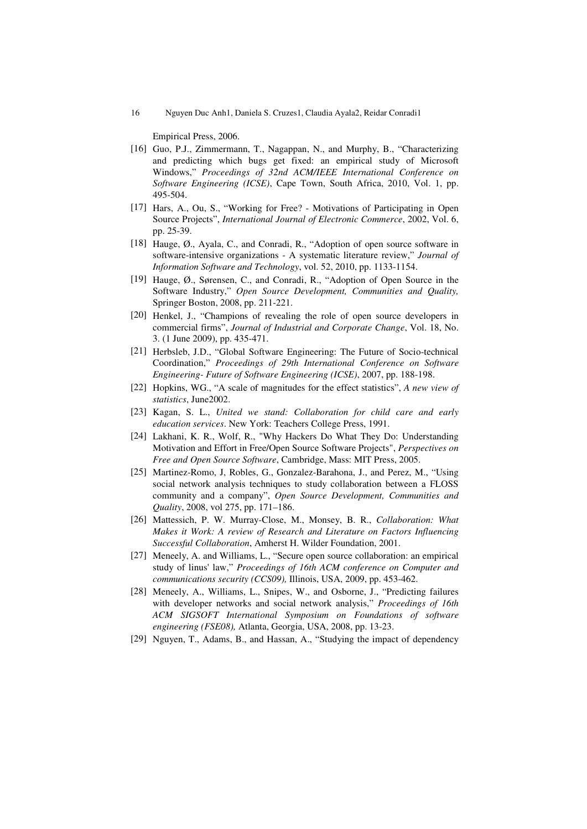Empirical Press, 2006.

- [16] Guo, P.J., Zimmermann, T., Nagappan, N., and Murphy, B., "Characterizing and predicting which bugs get fixed: an empirical study of Microsoft Windows," *Proceedings of 32nd ACM/IEEE International Conference on Software Engineering (ICSE)*, Cape Town, South Africa, 2010, Vol. 1, pp. 495-504.
- [17] Hars, A., Ou, S., "Working for Free? Motivations of Participating in Open Source Projects", *International Journal of Electronic Commerce*, 2002, Vol. 6, pp. 25-39.
- [18] Hauge, Ø., Ayala, C., and Conradi, R., "Adoption of open source software in software-intensive organizations - A systematic literature review," *Journal of Information Software and Technology*, vol. 52, 2010, pp. 1133-1154.
- [19] Hauge, Ø., Sørensen, C., and Conradi, R., "Adoption of Open Source in the Software Industry," *Open Source Development, Communities and Quality,* Springer Boston, 2008, pp. 211-221.
- [20] Henkel, J., "Champions of revealing the role of open source developers in commercial firms", *Journal of Industrial and Corporate Change*, Vol. 18, No. 3. (1 June 2009), pp. 435-471.
- [21] Herbsleb, J.D., "Global Software Engineering: The Future of Socio-technical Coordination," *Proceedings of 29th International Conference on Software Engineering- Future of Software Engineering (ICSE)*, 2007, pp. 188-198.
- [22] Hopkins, WG., "A scale of magnitudes for the effect statistics", *A new view of statistics*, June2002.
- [23] Kagan, S. L., *United we stand: Collaboration for child care and early education services*. New York: Teachers College Press, 1991.
- [24] Lakhani, K. R., Wolf, R., "Why Hackers Do What They Do: Understanding Motivation and Effort in Free/Open Source Software Projects", *Perspectives on Free and Open Source Software*, Cambridge, Mass: MIT Press, 2005.
- [25] Martinez-Romo, J. Robles, G., Gonzalez-Barahona, J., and Perez, M., "Using social network analysis techniques to study collaboration between a FLOSS community and a company", *Open Source Development, Communities and Quality*, 2008, vol 275, pp. 171–186.
- [26] Mattessich, P. W. Murray-Close, M., Monsey, B. R., *Collaboration: What Makes it Work: A review of Research and Literature on Factors Influencing Successful Collaboration*, Amherst H. Wilder Foundation, 2001.
- [27] Meneely, A. and Williams, L., "Secure open source collaboration: an empirical study of linus' law," *Proceedings of 16th ACM conference on Computer and communications security (CCS09),* Illinois, USA, 2009, pp. 453-462.
- [28] Meneely, A., Williams, L., Snipes, W., and Osborne, J., "Predicting failures with developer networks and social network analysis," *Proceedings of 16th ACM SIGSOFT International Symposium on Foundations of software engineering (FSE08),* Atlanta, Georgia, USA, 2008, pp. 13-23.
- [29] Nguyen, T., Adams, B., and Hassan, A., "Studying the impact of dependency